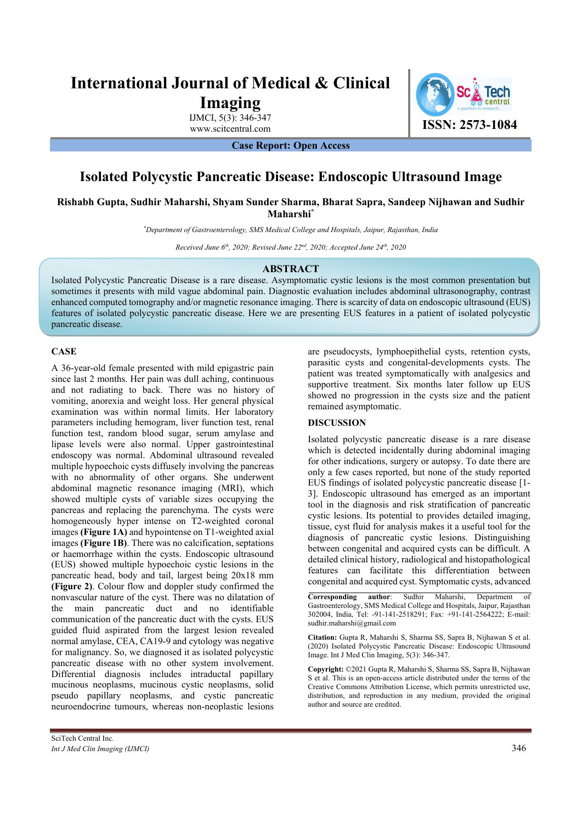# **International Journal of Medical & Clinical Imaging**

IJMCI, 5(3): 346-347

www.scitcentral.com **ISSN: 2573-1084** 

**Case Report: Open Access** 

## **Isolated Polycystic Pancreatic Disease: Endoscopic Ultrasound Image**

**Rishabh Gupta, Sudhir Maharshi, Shyam Sunder Sharma, Bharat Sapra, Sandeep Nijhawan and Sudhir Maharshi\***

*\* Department of Gastroenterology, SMS Medical College and Hospitals, Jaipur, Rajasthan, India* 

*Received June 6th, 2020; Revised June 22nd, 2020; Accepted June 24th, 2020* 

### **ABSTRACT**

Isolated Polycystic Pancreatic Disease is a rare disease. Asymptomatic cystic lesions is the most common presentation but sometimes it presents with mild vague abdominal pain. Diagnostic evaluation includes abdominal ultrasonography, contrast enhanced computed tomography and/or magnetic resonance imaging. There is scarcity of data on endoscopic ultrasound (EUS) features of isolated polycystic pancreatic disease. Here we are presenting EUS features in a patient of isolated polycystic pancreatic disease.

### **CASE**

A 36-year-old female presented with mild epigastric pain since last 2 months. Her pain was dull aching, continuous and not radiating to back. There was no history of vomiting, anorexia and weight loss. Her general physical examination was within normal limits. Her laboratory parameters including hemogram, liver function test, renal function test, random blood sugar, serum amylase and lipase levels were also normal. Upper gastrointestinal endoscopy was normal. Abdominal ultrasound revealed multiple hypoechoic cysts diffusely involving the pancreas with no abnormality of other organs. She underwent abdominal magnetic resonance imaging (MRI), which showed multiple cysts of variable sizes occupying the pancreas and replacing the parenchyma. The cysts were homogeneously hyper intense on T2-weighted coronal images **(Figure 1A)** and hypointense on T1-weighted axial images **(Figure 1B)**. There was no calcification, septations or haemorrhage within the cysts. Endoscopic ultrasound (EUS) showed multiple hypoechoic cystic lesions in the pancreatic head, body and tail, largest being 20x18 mm **(Figure 2)**. Colour flow and doppler study confirmed the nonvascular nature of the cyst. There was no dilatation of the main pancreatic duct and no identifiable communication of the pancreatic duct with the cysts. EUS guided fluid aspirated from the largest lesion revealed normal amylase, CEA, CA19-9 and cytology was negative for malignancy. So, we diagnosed it as isolated polycystic pancreatic disease with no other system involvement. Differential diagnosis includes intraductal papillary mucinous neoplasms, mucinous cystic neoplasms, solid pseudo papillary neoplasms, and cystic pancreatic neuroendocrine tumours, whereas non-neoplastic lesions

are pseudocysts, lymphoepithelial cysts, retention cysts, parasitic cysts and congenital-developments cysts. The patient was treated symptomatically with analgesics and supportive treatment. Six months later follow up EUS showed no progression in the cysts size and the patient remained asymptomatic.

## **DISCUSSION**

Isolated polycystic pancreatic disease is a rare disease which is detected incidentally during abdominal imaging for other indications, surgery or autopsy. To date there are only a few cases reported, but none of the study reported EUS findings of isolated polycystic pancreatic disease [1- 3]. Endoscopic ultrasound has emerged as an important tool in the diagnosis and risk stratification of pancreatic cystic lesions. Its potential to provides detailed imaging, tissue, cyst fluid for analysis makes it a useful tool for the diagnosis of pancreatic cystic lesions. Distinguishing between congenital and acquired cysts can be difficult. A detailed clinical history, radiological and histopathological features can facilitate this differentiation between congenital and acquired cyst. Symptomatic cysts, advanced

**Corresponding author**: Sudhir Maharshi, Department of Gastroenterology, SMS Medical College and Hospitals, Jaipur, Rajasthan 302004, India, Tel: -91-141-2518291; Fax: +91-141-2564222; E-mail: sudhir.maharshi@gmail.com

**Citation:** Gupta R, Maharshi S, Sharma SS, Sapra B, Nijhawan S et al. (2020) Isolated Polycystic Pancreatic Disease: Endoscopic Ultrasound Image. Int J Med Clin Imaging, 5(3): 346-347.

**Copyright:** ©2021 Gupta R, Maharshi S, Sharma SS, Sapra B, Nijhawan S et al. This is an open-access article distributed under the terms of the Creative Commons Attribution License, which permits unrestricted use, distribution, and reproduction in any medium, provided the original author and source are credited.